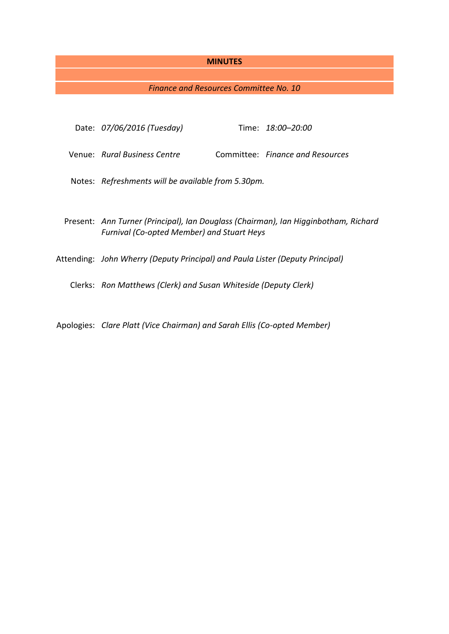## **MINUTES**

# *Finance and Resources Committee No. 10*

| Date: 07/06/2016 (Tuesday)                                                                                                               |  | Time: 18:00-20:00                |
|------------------------------------------------------------------------------------------------------------------------------------------|--|----------------------------------|
| Venue: Rural Business Centre                                                                                                             |  | Committee: Finance and Resources |
| Notes: Refreshments will be available from 5.30pm.                                                                                       |  |                                  |
| Present: Ann Turner (Principal), Ian Douglass (Chairman), Ian Higginbotham, Richard<br><b>Furnival (Co-opted Member) and Stuart Heys</b> |  |                                  |
| Attending: John Wherry (Deputy Principal) and Paula Lister (Deputy Principal)                                                            |  |                                  |
| Clerks: Ron Matthews (Clerk) and Susan Whiteside (Deputy Clerk)                                                                          |  |                                  |
|                                                                                                                                          |  |                                  |

Apologies: *Clare Platt (Vice Chairman) and Sarah Ellis (Co-opted Member)*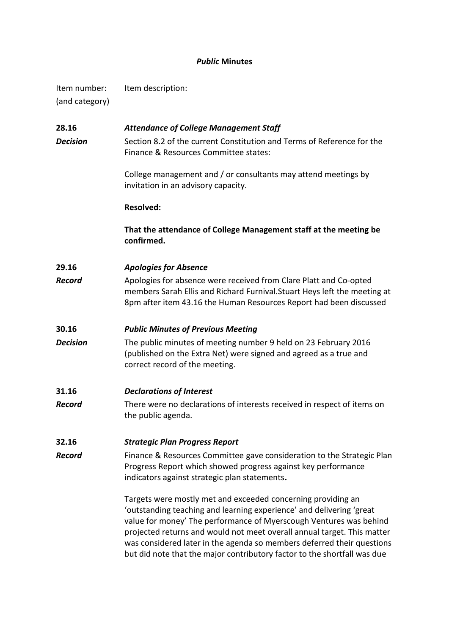# *Public* **Minutes**

Item number: Item description: (and category)

# **28.16** *Attendance of College Management Staff* **Decision** Section 8.2 of the current Constitution and Terms of Reference for the Finance & Resources Committee states:

College management and / or consultants may attend meetings by invitation in an advisory capacity.

## **Resolved:**

**That the attendance of College Management staff at the meeting be confirmed.**

# **29.16** *Apologies for Absence*

*Record* Apologies for absence were received from Clare Platt and Co-opted members Sarah Ellis and Richard Furnival.Stuart Heys left the meeting at 8pm after item 43.16 the Human Resources Report had been discussed

# **30.16** *Public Minutes of Previous Meeting*

*Decision* The public minutes of meeting number 9 held on 23 February 2016 (published on the Extra Net) were signed and agreed as a true and correct record of the meeting.

# **31.16** *Declarations of Interest*

*Record* There were no declarations of interests received in respect of items on the public agenda.

# **32.16** *Strategic Plan Progress Report*

**Record** Finance & Resources Committee gave consideration to the Strategic Plan Progress Report which showed progress against key performance indicators against strategic plan statements**.**

> Targets were mostly met and exceeded concerning providing an 'outstanding teaching and learning experience' and delivering 'great value for money' The performance of Myerscough Ventures was behind projected returns and would not meet overall annual target. This matter was considered later in the agenda so members deferred their questions but did note that the major contributory factor to the shortfall was due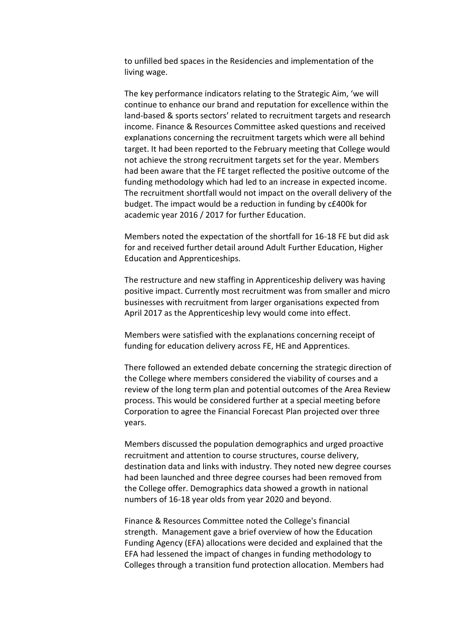to unfilled bed spaces in the Residencies and implementation of the living wage.

The key performance indicators relating to the Strategic Aim, 'we will continue to enhance our brand and reputation for excellence within the land-based & sports sectors' related to recruitment targets and research income. Finance & Resources Committee asked questions and received explanations concerning the recruitment targets which were all behind target. It had been reported to the February meeting that College would not achieve the strong recruitment targets set for the year. Members had been aware that the FE target reflected the positive outcome of the funding methodology which had led to an increase in expected income. The recruitment shortfall would not impact on the overall delivery of the budget. The impact would be a reduction in funding by c£400k for academic year 2016 / 2017 for further Education.

Members noted the expectation of the shortfall for 16-18 FE but did ask for and received further detail around Adult Further Education, Higher Education and Apprenticeships.

The restructure and new staffing in Apprenticeship delivery was having positive impact. Currently most recruitment was from smaller and micro businesses with recruitment from larger organisations expected from April 2017 as the Apprenticeship levy would come into effect.

Members were satisfied with the explanations concerning receipt of funding for education delivery across FE, HE and Apprentices.

There followed an extended debate concerning the strategic direction of the College where members considered the viability of courses and a review of the long term plan and potential outcomes of the Area Review process. This would be considered further at a special meeting before Corporation to agree the Financial Forecast Plan projected over three years.

Members discussed the population demographics and urged proactive recruitment and attention to course structures, course delivery, destination data and links with industry. They noted new degree courses had been launched and three degree courses had been removed from the College offer. Demographics data showed a growth in national numbers of 16-18 year olds from year 2020 and beyond.

Finance & Resources Committee noted the College's financial strength. Management gave a brief overview of how the Education Funding Agency (EFA) allocations were decided and explained that the EFA had lessened the impact of changes in funding methodology to Colleges through a transition fund protection allocation. Members had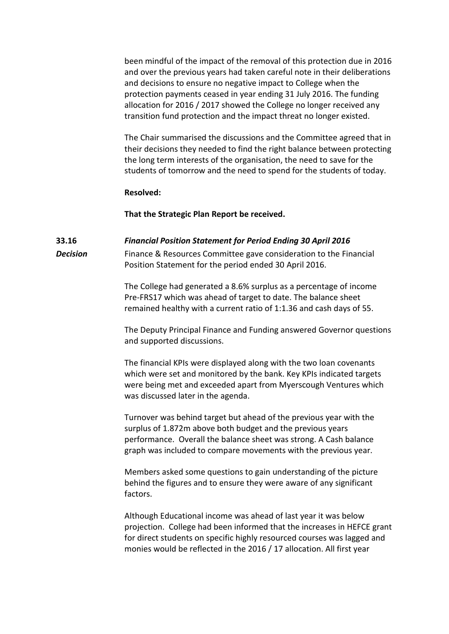been mindful of the impact of the removal of this protection due in 2016 and over the previous years had taken careful note in their deliberations and decisions to ensure no negative impact to College when the protection payments ceased in year ending 31 July 2016. The funding allocation for 2016 / 2017 showed the College no longer received any transition fund protection and the impact threat no longer existed.

The Chair summarised the discussions and the Committee agreed that in their decisions they needed to find the right balance between protecting the long term interests of the organisation, the need to save for the students of tomorrow and the need to spend for the students of today.

### **Resolved:**

### **That the Strategic Plan Report be received.**

### **33.16** *Financial Position Statement for Period Ending 30 April 2016*

**Decision** Finance & Resources Committee gave consideration to the Financial Position Statement for the period ended 30 April 2016.

> The College had generated a 8.6% surplus as a percentage of income Pre-FRS17 which was ahead of target to date. The balance sheet remained healthy with a current ratio of 1:1.36 and cash days of 55.

The Deputy Principal Finance and Funding answered Governor questions and supported discussions.

The financial KPIs were displayed along with the two loan covenants which were set and monitored by the bank. Key KPIs indicated targets were being met and exceeded apart from Myerscough Ventures which was discussed later in the agenda.

Turnover was behind target but ahead of the previous year with the surplus of 1.872m above both budget and the previous years performance. Overall the balance sheet was strong. A Cash balance graph was included to compare movements with the previous year.

Members asked some questions to gain understanding of the picture behind the figures and to ensure they were aware of any significant factors.

Although Educational income was ahead of last year it was below projection. College had been informed that the increases in HEFCE grant for direct students on specific highly resourced courses was lagged and monies would be reflected in the 2016 / 17 allocation. All first year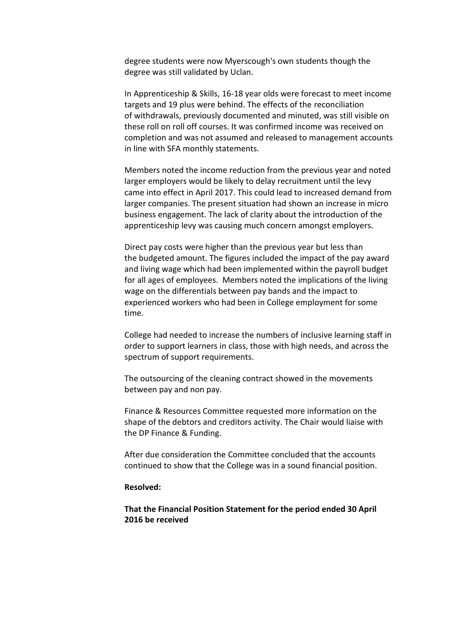degree students were now Myerscough's own students though the degree was still validated by Uclan.

In Apprenticeship & Skills, 16-18 year olds were forecast to meet income targets and 19 plus were behind. The effects of the reconciliation of withdrawals, previously documented and minuted, was still visible on these roll on roll off courses. It was confirmed income was received on completion and was not assumed and released to management accounts in line with SFA monthly statements.

Members noted the income reduction from the previous year and noted larger employers would be likely to delay recruitment until the levy came into effect in April 2017. This could lead to increased demand from larger companies. The present situation had shown an increase in micro business engagement. The lack of clarity about the introduction of the apprenticeship levy was causing much concern amongst employers.

Direct pay costs were higher than the previous year but less than the budgeted amount. The figures included the impact of the pay award and living wage which had been implemented within the payroll budget for all ages of employees. Members noted the implications of the living wage on the differentials between pay bands and the impact to experienced workers who had been in College employment for some time.

College had needed to increase the numbers of inclusive learning staff in order to support learners in class, those with high needs, and across the spectrum of support requirements.

The outsourcing of the cleaning contract showed in the movements between pay and non pay.

Finance & Resources Committee requested more information on the shape of the debtors and creditors activity. The Chair would liaise with the DP Finance & Funding.

After due consideration the Committee concluded that the accounts continued to show that the College was in a sound financial position.

#### **Resolved:**

**That the Financial Position Statement for the period ended 30 April 2016 be received**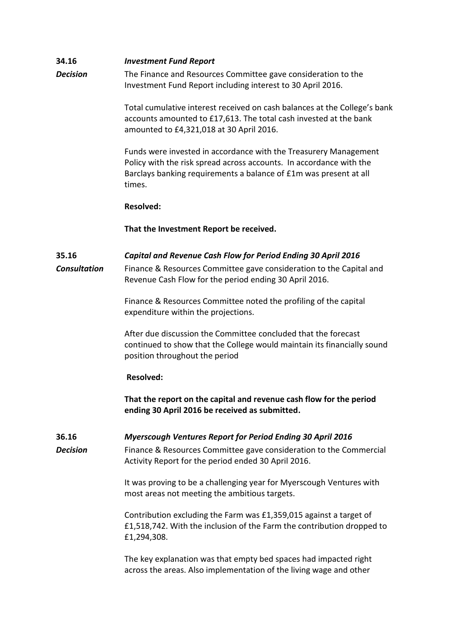| 34.16                        | <b>Investment Fund Report</b>                                                                                                                                                                                          |
|------------------------------|------------------------------------------------------------------------------------------------------------------------------------------------------------------------------------------------------------------------|
| <b>Decision</b>              | The Finance and Resources Committee gave consideration to the<br>Investment Fund Report including interest to 30 April 2016.                                                                                           |
|                              | Total cumulative interest received on cash balances at the College's bank<br>accounts amounted to £17,613. The total cash invested at the bank<br>amounted to £4,321,018 at 30 April 2016.                             |
|                              | Funds were invested in accordance with the Treasurery Management<br>Policy with the risk spread across accounts. In accordance with the<br>Barclays banking requirements a balance of £1m was present at all<br>times. |
|                              | <b>Resolved:</b>                                                                                                                                                                                                       |
|                              | That the Investment Report be received.                                                                                                                                                                                |
| 35.16<br><b>Consultation</b> | Capital and Revenue Cash Flow for Period Ending 30 April 2016<br>Finance & Resources Committee gave consideration to the Capital and<br>Revenue Cash Flow for the period ending 30 April 2016.                         |
|                              | Finance & Resources Committee noted the profiling of the capital<br>expenditure within the projections.                                                                                                                |
|                              | After due discussion the Committee concluded that the forecast<br>continued to show that the College would maintain its financially sound<br>position throughout the period                                            |
|                              | <b>Resolved:</b>                                                                                                                                                                                                       |
|                              | That the report on the capital and revenue cash flow for the period<br>ending 30 April 2016 be received as submitted.                                                                                                  |
| 36.16                        | <b>Myerscough Ventures Report for Period Ending 30 April 2016</b>                                                                                                                                                      |
| <b>Decision</b>              | Finance & Resources Committee gave consideration to the Commercial<br>Activity Report for the period ended 30 April 2016.                                                                                              |
|                              | It was proving to be a challenging year for Myerscough Ventures with<br>most areas not meeting the ambitious targets.                                                                                                  |
|                              | Contribution excluding the Farm was £1,359,015 against a target of<br>£1,518,742. With the inclusion of the Farm the contribution dropped to<br>£1,294,308.                                                            |
|                              | The key explanation was that empty bed spaces had impacted right<br>across the areas. Also implementation of the living wage and other                                                                                 |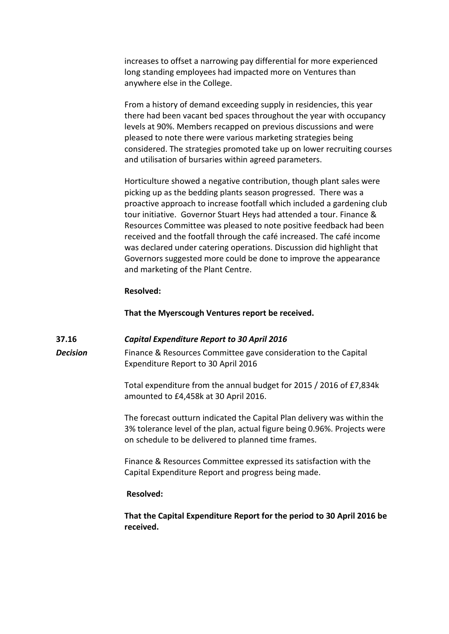increases to offset a narrowing pay differential for more experienced long standing employees had impacted more on Ventures than anywhere else in the College.

From a history of demand exceeding supply in residencies, this year there had been vacant bed spaces throughout the year with occupancy levels at 90%. Members recapped on previous discussions and were pleased to note there were various marketing strategies being considered. The strategies promoted take up on lower recruiting courses and utilisation of bursaries within agreed parameters.

Horticulture showed a negative contribution, though plant sales were picking up as the bedding plants season progressed. There was a proactive approach to increase footfall which included a gardening club tour initiative. Governor Stuart Heys had attended a tour. Finance & Resources Committee was pleased to note positive feedback had been received and the footfall through the café increased. The café income was declared under catering operations. Discussion did highlight that Governors suggested more could be done to improve the appearance and marketing of the Plant Centre.

## **Resolved:**

#### **That the Myerscough Ventures report be received.**

#### **37.16** *Capital Expenditure Report to 30 April 2016*

**Decision** Finance & Resources Committee gave consideration to the Capital Expenditure Report to 30 April 2016

> Total expenditure from the annual budget for 2015 / 2016 of £7,834k amounted to £4,458k at 30 April 2016.

The forecast outturn indicated the Capital Plan delivery was within the 3% tolerance level of the plan, actual figure being 0.96%. Projects were on schedule to be delivered to planned time frames.

Finance & Resources Committee expressed its satisfaction with the Capital Expenditure Report and progress being made.

## **Resolved:**

**That the Capital Expenditure Report for the period to 30 April 2016 be received.**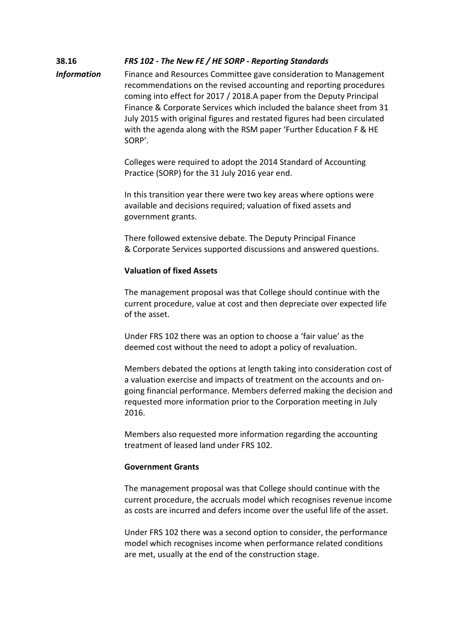# **38.16** *FRS 102 - The New FE / HE SORP - Reporting Standards*

**Information** Finance and Resources Committee gave consideration to Management recommendations on the revised accounting and reporting procedures coming into effect for 2017 / 2018.A paper from the Deputy Principal Finance & Corporate Services which included the balance sheet from 31 July 2015 with original figures and restated figures had been circulated with the agenda along with the RSM paper 'Further Education F & HE SORP'.

> Colleges were required to adopt the 2014 Standard of Accounting Practice (SORP) for the 31 July 2016 year end.

In this transition year there were two key areas where options were available and decisions required; valuation of fixed assets and government grants.

There followed extensive debate. The Deputy Principal Finance & Corporate Services supported discussions and answered questions.

# **Valuation of fixed Assets**

The management proposal was that College should continue with the current procedure, value at cost and then depreciate over expected life of the asset.

Under FRS 102 there was an option to choose a 'fair value' as the deemed cost without the need to adopt a policy of revaluation.

Members debated the options at length taking into consideration cost of a valuation exercise and impacts of treatment on the accounts and ongoing financial performance. Members deferred making the decision and requested more information prior to the Corporation meeting in July 2016.

Members also requested more information regarding the accounting treatment of leased land under FRS 102.

## **Government Grants**

The management proposal was that College should continue with the current procedure, the accruals model which recognises revenue income as costs are incurred and defers income over the useful life of the asset.

Under FRS 102 there was a second option to consider, the performance model which recognises income when performance related conditions are met, usually at the end of the construction stage.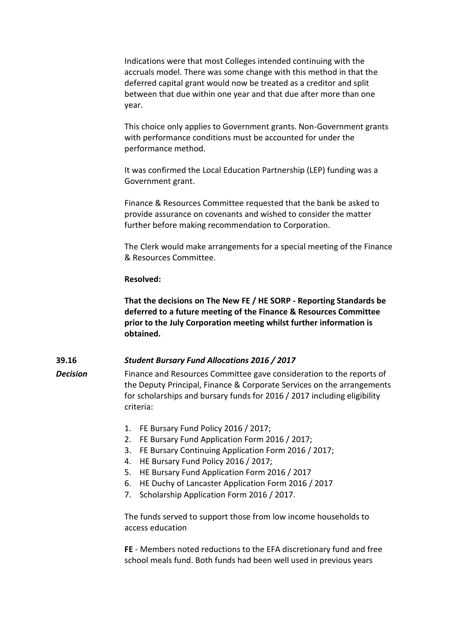Indications were that most Colleges intended continuing with the accruals model. There was some change with this method in that the deferred capital grant would now be treated as a creditor and split between that due within one year and that due after more than one year.

This choice only applies to Government grants. Non-Government grants with performance conditions must be accounted for under the performance method.

It was confirmed the Local Education Partnership (LEP) funding was a Government grant.

Finance & Resources Committee requested that the bank be asked to provide assurance on covenants and wished to consider the matter further before making recommendation to Corporation.

The Clerk would make arrangements for a special meeting of the Finance & Resources Committee.

## **Resolved:**

**That the decisions on The New FE / HE SORP - Reporting Standards be deferred to a future meeting of the Finance & Resources Committee prior to the July Corporation meeting whilst further information is obtained.**

# **39.16** *Student Bursary Fund Allocations 2016 / 2017*

**Decision** Finance and Resources Committee gave consideration to the reports of the Deputy Principal, Finance & Corporate Services on the arrangements for scholarships and bursary funds for 2016 / 2017 including eligibility criteria:

- 1. FE Bursary Fund Policy 2016 / 2017;
- 2. FE Bursary Fund Application Form 2016 / 2017;
- 3. FE Bursary Continuing Application Form 2016 / 2017;
- 4. HE Bursary Fund Policy 2016 / 2017;
- 5. HE Bursary Fund Application Form 2016 / 2017
- 6. HE Duchy of Lancaster Application Form 2016 / 2017
- 7. Scholarship Application Form 2016 / 2017.

The funds served to support those from low income households to access education

**FE** - Members noted reductions to the EFA discretionary fund and free school meals fund. Both funds had been well used in previous years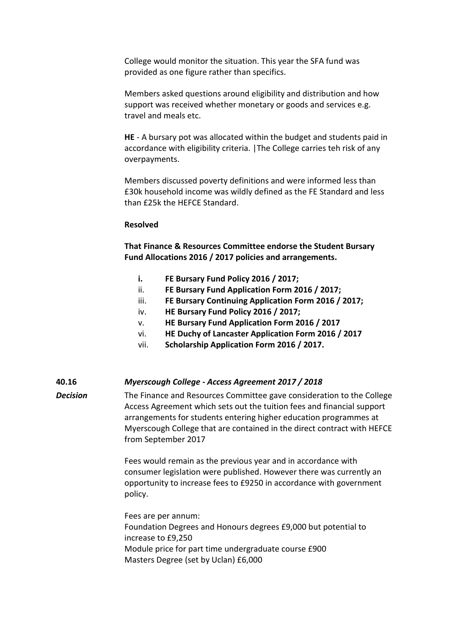College would monitor the situation. This year the SFA fund was provided as one figure rather than specifics.

Members asked questions around eligibility and distribution and how support was received whether monetary or goods and services e.g. travel and meals etc.

**HE** - A bursary pot was allocated within the budget and students paid in accordance with eligibility criteria. |The College carries teh risk of any overpayments.

Members discussed poverty definitions and were informed less than £30k household income was wildly defined as the FE Standard and less than £25k the HEFCE Standard.

## **Resolved**

**That Finance & Resources Committee endorse the Student Bursary Fund Allocations 2016 / 2017 policies and arrangements.**

- **i. FE Bursary Fund Policy 2016 / 2017;**
- ii. **FE Bursary Fund Application Form 2016 / 2017;**
- iii. **FE Bursary Continuing Application Form 2016 / 2017;**
- iv. **HE Bursary Fund Policy 2016 / 2017;**
- v. **HE Bursary Fund Application Form 2016 / 2017**
- vi. **HE Duchy of Lancaster Application Form 2016 / 2017**
- vii. **Scholarship Application Form 2016 / 2017.**

# **40.16** *Myerscough College - Access Agreement 2017 / 2018*

*Decision* The Finance and Resources Committee gave consideration to the College Access Agreement which sets out the tuition fees and financial support arrangements for students entering higher education programmes at Myerscough College that are contained in the direct contract with HEFCE from September 2017

> Fees would remain as the previous year and in accordance with consumer legislation were published. However there was currently an opportunity to increase fees to £9250 in accordance with government policy.

Fees are per annum: Foundation Degrees and Honours degrees £9,000 but potential to increase to £9,250 Module price for part time undergraduate course £900 Masters Degree (set by Uclan) £6,000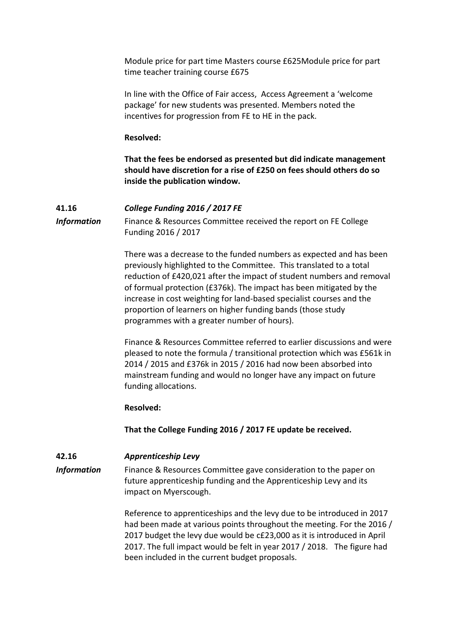Module price for part time Masters course £625Module price for part time teacher training course £675

In line with the Office of Fair access, Access Agreement a 'welcome package' for new students was presented. Members noted the incentives for progression from FE to HE in the pack.

### **Resolved:**

**That the fees be endorsed as presented but did indicate management should have discretion for a rise of £250 on fees should others do so inside the publication window.**

# **41.16** *College Funding 2016 / 2017 FE*

**Information** Finance & Resources Committee received the report on FE College Funding 2016 / 2017

> There was a decrease to the funded numbers as expected and has been previously highlighted to the Committee. This translated to a total reduction of £420,021 after the impact of student numbers and removal of formual protection (£376k). The impact has been mitigated by the increase in cost weighting for land-based specialist courses and the proportion of learners on higher funding bands (those study programmes with a greater number of hours).

> Finance & Resources Committee referred to earlier discussions and were pleased to note the formula / transitional protection which was £561k in 2014 / 2015 and £376k in 2015 / 2016 had now been absorbed into mainstream funding and would no longer have any impact on future funding allocations.

### **Resolved:**

**That the College Funding 2016 / 2017 FE update be received.**

# **42.16** *Apprenticeship Levy*

**Information** Finance & Resources Committee gave consideration to the paper on future apprenticeship funding and the Apprenticeship Levy and its impact on Myerscough.

> Reference to apprenticeships and the levy due to be introduced in 2017 had been made at various points throughout the meeting. For the 2016 / 2017 budget the levy due would be c£23,000 as it is introduced in April 2017. The full impact would be felt in year 2017 / 2018. The figure had been included in the current budget proposals.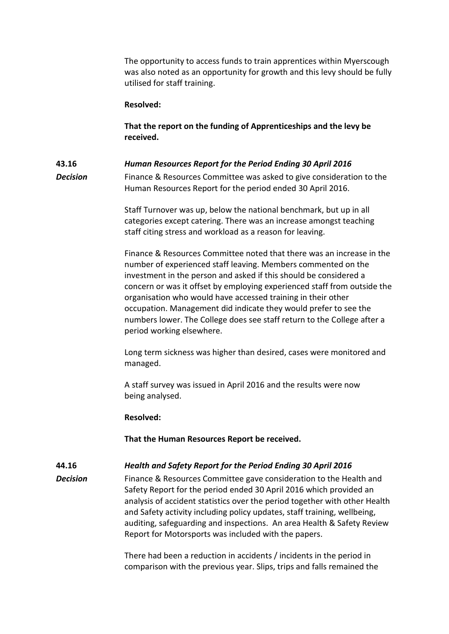The opportunity to access funds to train apprentices within Myerscough was also noted as an opportunity for growth and this levy should be fully utilised for staff training.

## **Resolved:**

**That the report on the funding of Apprenticeships and the levy be received.**

# **43.16** *Human Resources Report for the Period Ending 30 April 2016*

**Decision** Finance & Resources Committee was asked to give consideration to the Human Resources Report for the period ended 30 April 2016.

> Staff Turnover was up, below the national benchmark, but up in all categories except catering. There was an increase amongst teaching staff citing stress and workload as a reason for leaving.

Finance & Resources Committee noted that there was an increase in the number of experienced staff leaving. Members commented on the investment in the person and asked if this should be considered a concern or was it offset by employing experienced staff from outside the organisation who would have accessed training in their other occupation. Management did indicate they would prefer to see the numbers lower. The College does see staff return to the College after a period working elsewhere.

Long term sickness was higher than desired, cases were monitored and managed.

A staff survey was issued in April 2016 and the results were now being analysed.

## **Resolved:**

**That the Human Resources Report be received.**

# **44.16** *Health and Safety Report for the Period Ending 30 April 2016*

**Decision** Finance & Resources Committee gave consideration to the Health and Safety Report for the period ended 30 April 2016 which provided an analysis of accident statistics over the period together with other Health and Safety activity including policy updates, staff training, wellbeing, auditing, safeguarding and inspections. An area Health & Safety Review Report for Motorsports was included with the papers.

> There had been a reduction in accidents / incidents in the period in comparison with the previous year. Slips, trips and falls remained the